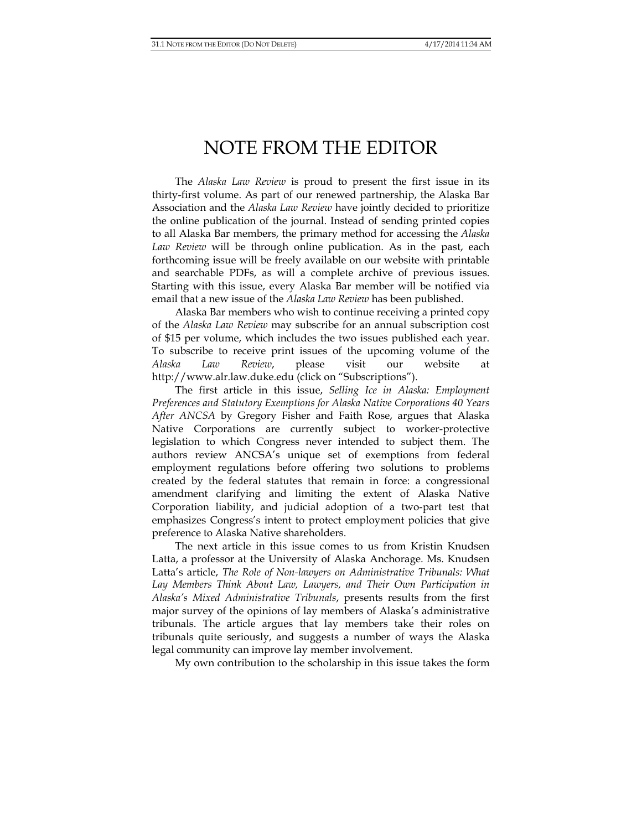## NOTE FROM THE EDITOR

The *Alaska Law Review* is proud to present the first issue in its thirty-first volume. As part of our renewed partnership, the Alaska Bar Association and the *Alaska Law Review* have jointly decided to prioritize the online publication of the journal. Instead of sending printed copies to all Alaska Bar members, the primary method for accessing the *Alaska Law Review* will be through online publication. As in the past, each forthcoming issue will be freely available on our website with printable and searchable PDFs, as will a complete archive of previous issues. Starting with this issue, every Alaska Bar member will be notified via email that a new issue of the *Alaska Law Review* has been published.

 Alaska Bar members who wish to continue receiving a printed copy of the *Alaska Law Review* may subscribe for an annual subscription cost of \$15 per volume, which includes the two issues published each year. To subscribe to receive print issues of the upcoming volume of the *Alaska Law Review*, please visit our website at http://www.alr.law.duke.edu (click on "Subscriptions").

The first article in this issue, *Selling Ice in Alaska: Employment Preferences and Statutory Exemptions for Alaska Native Corporations 40 Years After ANCSA* by Gregory Fisher and Faith Rose, argues that Alaska Native Corporations are currently subject to worker-protective legislation to which Congress never intended to subject them. The authors review ANCSA's unique set of exemptions from federal employment regulations before offering two solutions to problems created by the federal statutes that remain in force: a congressional amendment clarifying and limiting the extent of Alaska Native Corporation liability, and judicial adoption of a two-part test that emphasizes Congress's intent to protect employment policies that give preference to Alaska Native shareholders.

The next article in this issue comes to us from Kristin Knudsen Latta, a professor at the University of Alaska Anchorage. Ms. Knudsen Latta's article, *The Role of Non-lawyers on Administrative Tribunals: What Lay Members Think About Law, Lawyers, and Their Own Participation in Alaska's Mixed Administrative Tribunals*, presents results from the first major survey of the opinions of lay members of Alaska's administrative tribunals. The article argues that lay members take their roles on tribunals quite seriously, and suggests a number of ways the Alaska legal community can improve lay member involvement.

My own contribution to the scholarship in this issue takes the form